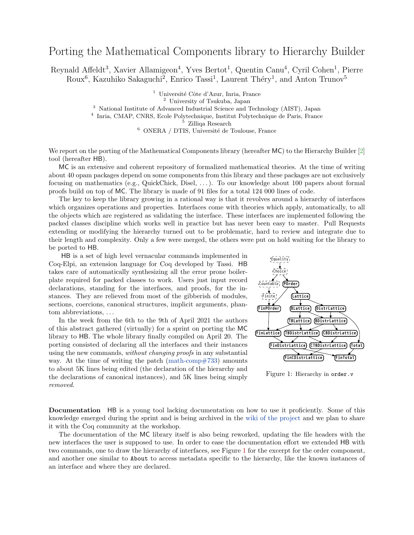## Porting the Mathematical Components library to Hierarchy Builder

Reynald Affeldt<sup>3</sup>, Xavier Allamigeon<sup>4</sup>, Yves Bertot<sup>1</sup>, Quentin Canu<sup>4</sup>, Cyril Cohen<sup>1</sup>, Pierre Roux<sup>6</sup>, Kazuhiko Sakaguchi<sup>2</sup>, Enrico Tassi<sup>1</sup>, Laurent Théry<sup>1</sup>, and Anton Trunov<sup>5</sup>

Université Côte d'Azur, Inria, France

<sup>2</sup> University of Tsukuba, Japan

<sup>3</sup> National Institute of Advanced Industrial Science and Technology (AIST), Japan

4 Inria, CMAP, CNRS, Ecole Polytechnique, Institut Polytechnique de Paris, France

<sup>5</sup> Zilliqa Research

 $^6\,$  ONERA / DTIS, Université de Toulouse, France

We report on the porting of the Mathematical Components library (hereafter MC) to the Hierarchy Builder [\[2\]](#page-1-0) tool (hereafter HB).

MC is an extensive and coherent repository of formalized mathematical theories. At the time of writing about 40 opam packages depend on some components from this library and these packages are not exclusively focusing on mathematics (e.g., QuickChick, Disel, . . . ). To our knowledge about 100 papers about formal proofs build on top of MC. The library is made of 91 files for a total 124 000 lines of code.

The key to keep the library growing in a rational way is that it revolves around a hierarchy of interfaces which organizes operations and properties. Interfaces come with theories which apply, automatically, to all the objects which are registered as validating the interface. These interfaces are implemented following the packed classes discipline which works well in practice but has never been easy to master. Pull Requests extending or modifying the hierarchy turned out to be problematic, hard to review and integrate due to their length and complexity. Only a few were merged, the others were put on hold waiting for the library to be ported to HB.

HB is a set of high level vernacular commands implemented in Coq-Elpi, an extension language for Coq developed by Tassi. HB takes care of automatically synthesizing all the error prone boilerplate required for packed classes to work. Users just input record declarations, standing for the interfaces, and proofs, for the instances. They are relieved from most of the gibberish of modules, sections, coercions, canonical structures, implicit arguments, phantom abbreviations, . . .

In the week from the 6th to the 9th of April 2021 the authors of this abstract gathered (virtually) for a sprint on porting the MC library to HB. The whole library finally compiled on April 20. The porting consisted of declaring all the interfaces and their instances using the new commands, without changing proofs in any substantial way. At the time of writing the patch [\(math-comp#733\)](https://github.com/math-comp/math-comp/pull/733) amounts to about 5K lines being edited (the declaration of the hierarchy and the declarations of canonical instances), and 5K lines being simply removed.



<span id="page-0-0"></span>Figure 1: Hierarchy in order.v

Documentation HB is a young tool lacking documentation on how to use it proficiently. Some of this knowledge emerged during the sprint and is being archived in the [wiki of the project](https://github.com/math-comp/hierarchy-builder/wiki) and we plan to share it with the Coq community at the workshop.

The documentation of the MC library itself is also being reworked, updating the file headers with the new interfaces the user is supposed to use. In order to ease the documentation effort we extended HB with two commands, one to draw the hierarchy of interfaces, see Figure [1](#page-0-0) for the excerpt for the order component, and another one similar to About to access metadata specific to the hierarchy, like the known instances of an interface and where they are declared.